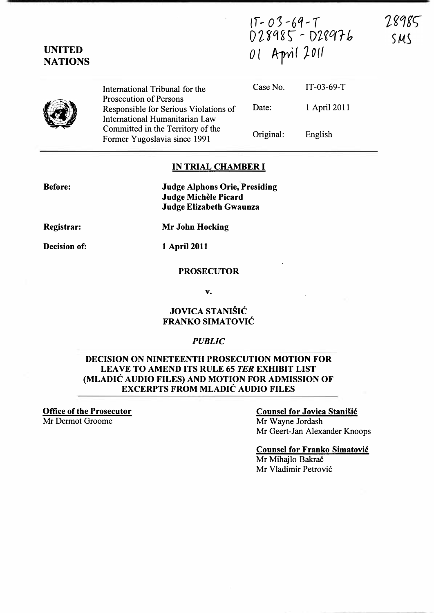$IT-03 - 69 - T$ Dl�q�r - D��qrb UNITED<br>NATIONS 01 April 2011

28985 SMS

|  | International Tribunal for the<br><b>Prosecution of Persons</b>         | Case No.  | $IT-03-69-T$ |  |
|--|-------------------------------------------------------------------------|-----------|--------------|--|
|  | Responsible for Serious Violations of<br>International Humanitarian Law | Date:     | 1 April 2011 |  |
|  | Committed in the Territory of the<br>Former Yugoslavia since 1991       | Original: | English      |  |

### IN TRIAL CHAMBER I

Before:

UNITED

Judge Alphons Orie, Presiding Judge Michele Picard Judge Elizabeth Gwaunza

Registrar:

Decision of: 1 April 2011

Mr John Hocking

#### PROSECUTOR

v.

## JOVICA STANIŠIĆ FRANKO SIMATOVIC

### **PUBLIC**

### DECISION ON NINETEENTH PROSECUTION MOTION FOR LEAVE TO AMEND ITS RULE 65 TER EXHIBIT LIST (MLADIC AUDIO FILES) AND MOTION FOR ADMISSION OF EXCERPTS FROM MLADIC AUDIO FILES

Office of the Prosecutor

Mr Dermot Groome

## Counsel for Jovica Stanisic Mr Wayne Jordash

Mr Geert-Jan Alexander Knoops

Counsel for Franko Simatovic Mr Mihailo Bakrač Mr Vladimir Petrovi6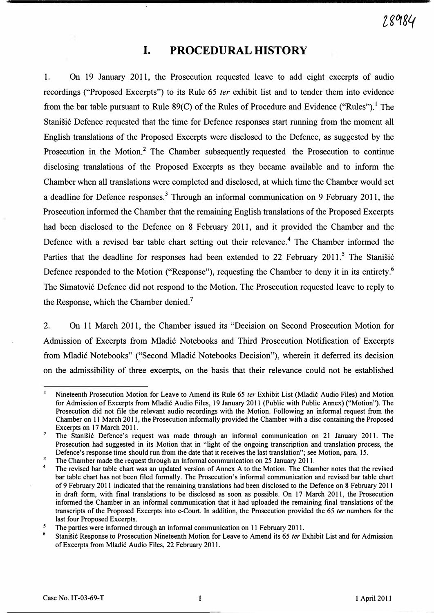# I. PROCEDURAL HISTORY

1. On 19 January 2011, the Prosecution requested leave to add eight excerpts of audio recordings ("Proposed Excerpts") to its Rule 65 ter exhibit list and to tender them into evidence from the bar table pursuant to Rule  $89(C)$  of the Rules of Procedure and Evidence ("Rules").<sup>1</sup> The Stanišić Defence requested that the time for Defence responses start running from the moment all English translations of the Proposed Excerpts were disclosed to the Defence, as suggested by the Prosecution in the Motion.<sup>2</sup> The Chamber subsequently requested the Prosecution to continue disclosing translations of the Proposed Excerpts as they became available and to inform the Chamber when all translations were completed and disclosed, at which time the Chamber would set a deadline for Defence responses.<sup>3</sup> Through an informal communication on 9 February 2011, the Prosecution informed the Chamber that the remaining English translations of the Proposed Excerpts had been disclosed to the Defence on 8 February 2011, and it provided the Chamber and the Defence with a revised bar table chart setting out their relevance.<sup>4</sup> The Chamber informed the Parties that the deadline for responses had been extended to 22 February 2011.<sup>5</sup> The Stanisic Defence responded to the Motion ("Response"), requesting the Chamber to deny it in its entirety.<sup>6</sup> The Simatović Defence did not respond to the Motion. The Prosecution requested leave to reply to the Response, which the Chamber denied.<sup>7</sup>

2. On 11 March 2011, the Chamber issued its "Decision on Second Prosecution Motion for Admission of Excerpts from Mladic Notebooks and Third Prosecution Notification of Excerpts from Mladić Notebooks" ("Second Mladić Notebooks Decision"), wherein it deferred its decision on the admissibility of three excerpts, on the basis that their relevance could not be established

 $\mathbf{1}$ Nineteenth Prosecution Motion for Leave to Amend its Rule 65 ter Exhibit List (Mladic Audio Files) and Motion for Admission of Excerpts from Mladic Audio Files, 19 January 2011 (Public with Public Annex) ("Motion"). The Prosecution did not file the relevant audio recordings with the Motion. Following an informal request from the Chamber on 11 March 2011, the Prosecution informally provided the Chamber with a disc containing the Proposed Excerpts on 17 March 2011.

 $\overline{2}$ The Stanisic Defence's request was made through an informal communication on 21 January 2011. The Prosecution had suggested in its Motion that in "light of the ongoing transcription and translation process, the Defence's response time should run from the date that it receives the last translation"; see Motion, para. 15.

 $\overline{3}$ The Chamber made the request through an informal communication on 25 January 2011.

<sup>4</sup>  The revised bar table chart was an updated version of Annex A to the Motion. The Chamber notes that the revised bar table chart has not been filed formally. The Prosecution's informal communication and revised bar table chart of 9 February 20 II indicated that the remaining translations had been disclosed to the Defence on 8 February 2011 in draft form, with final translations to be disclosed as soon as possible. On 17 March 2011, the Prosecution informed the Chamber in an informal communication that it had uploaded the remaining final translations of the transcripts of the Proposed Excerpts into e-Court. In addition, the Prosecution provided the 65 ter numbers for the last four Proposed Excerpts.

 $\overline{\mathbf{5}}$ The parties were informed through an informal communication on II February 2011.

<sup>6</sup>  Stanisic Response to Prosecution Nineteenth Motion for Leave to Amend its 65 ter Exhibit List and for Admission of Excerpts from Mladic Audio Files, 22 February 2011.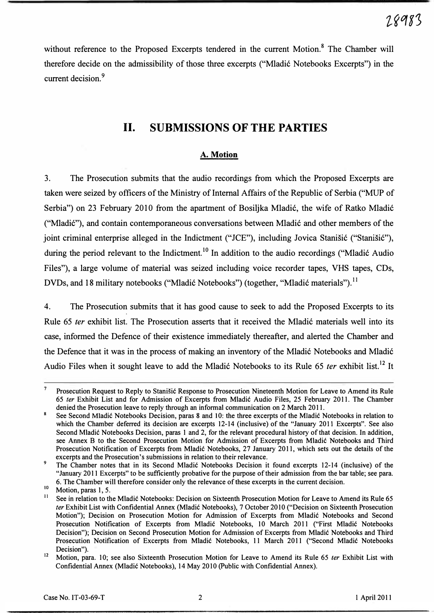without reference to the Proposed Excerpts tendered in the current Motion.<sup>8</sup> The Chamber will therefore decide on the admissibility of those three excerpts ("Mladic Notebooks Excerpts") in the current decision.<sup>9</sup>

# 11. SUBMISSIONS OF THE PARTIES

### A. Motion

3. The Prosecution submits that the audio recordings from which the Proposed Excerpts are taken were seized by officers of the Ministry of Internal Affairs of the Republic of Serbia ("MUP of Serbia") on 23 February 2010 from the apartment of Bosiljka Mladic, the wife of Ratko Mladic ("Mladic"), and contain contemporaneous conversations between Mladic and other members of the joint criminal enterprise alleged in the Indictment ("JCE"), including Jovica Stanišić ("Stanišić"), during the period relevant to the Indictment.<sup>10</sup> In addition to the audio recordings ("Mladić Audio Files"), a large volume of material was seized including voice recorder tapes, VHS tapes, CDs, DVDs, and 18 military notebooks ("Mladić Notebooks") (together, "Mladić materials").<sup>11</sup>

4. The Prosecution submits that it has good cause to seek to add the Proposed Excerpts to its Rule 65 ter exhibit list. The Prosecution asserts that it received the Mladić materials well into its case, informed the Defence of their existence immediately thereafter, and alerted the Chamber and the Defence that it was in the process of making an inventory of the Mladic Notebooks and Mladic Audio Files when it sought leave to add the Mladić Notebooks to its Rule 65 *ter* exhibit list.<sup>12</sup> It

 $\overline{7}$ Prosecution Request to Reply to Stani�ic Response to Prosecution Nineteenth Motion for Leave to Amend its Rule 65 fer Exhibit List and for Admission of Excerpts from Mladic Audio Files, 25 February 2011. The Chamber denied the Prosecution leave to reply through an informal communication on 2 March 2011.

<sup>8</sup> See Second Mladic Notebooks Decision, paras 8 and 10: the three excerpts of the Mladic Notebooks in relation to which the Chamber deferred its decision are excerpts 12-14 (inclusive) of the "January 2011 Excerpts". See also Second Mladic Notebooks Decision, paras 1 and 2, for the relevant procedural history of that decision. In addition, see Annex B to the Second Prosecution Motion for Admission of Excerpts from Mladic Notebooks and Third Prosecution Notification of Excerpts from Mladic Notebooks, 27 January 2011, which sets out the details of the excerpts and the Prosecution's submissions in relation to their relevance.

<sup>&</sup>lt;sup>9</sup> The Chamber notes that in its Second Mladić Notebooks Decision it found excerpts 12-14 (inclusive) of the "January 2011 Excerpts" to be sufficiently probative for the purpose of their admission from the bar table; see para. 6. The Chamber will therefore consider only the relevance of these excerpts in the current decision.

 $\frac{10}{11}$  Motion, paras 1, 5.

See in relation to the Mladic Notebooks: Decision on Sixteenth Prosecution Motion for Leave to Amend its Rule 65 ter Exhibit List with Confidential Annex (Mladić Notebooks), 7 October 2010 ("Decision on Sixteenth Prosecution Motion"); Decision on Prosecution Motion for Admission of Excerpts from Mladic Notebooks and Second Prosecution Notification of Excerpts from Mladic Notebooks, 10 March 2011 ("First Mladic Notebooks Decision"); Decision on Second Prosecution Motion for Admission of Excerpts from Mladic Notebooks and Third Prosecution Notification of Excerpts from Mladic Notebooks, 11 March 2011 ("Second Mladic Notebooks Decision").

<sup>&</sup>lt;sup>12</sup> Motion, para. 10; see also Sixteenth Prosecution Motion for Leave to Amend its Rule 65 *ter* Exhibit List with Confidential Annex (Mladic Notebooks), 14 May 2010 (public with Confidential Annex).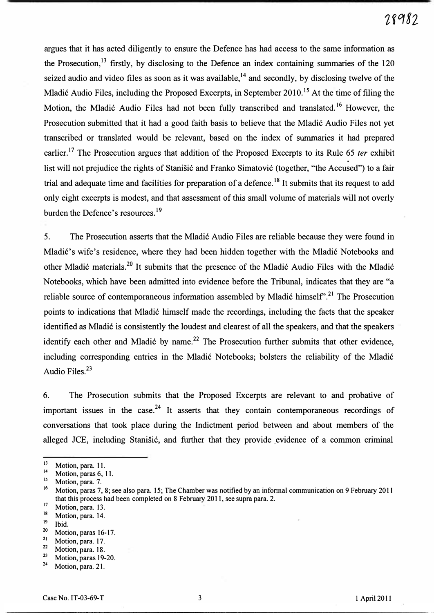argues that it has acted diligently to ensure the Defence has had access to the same infonnation as the Prosecution, $13$  firstly, by disclosing to the Defence an index containing summaries of the 120 seized audio and video files as soon as it was available,<sup>14</sup> and secondly, by disclosing twelve of the Mladić Audio Files, including the Proposed Excerpts, in September 2010.<sup>15</sup> At the time of filing the Motion, the Mladić Audio Files had not been fully transcribed and translated.<sup>16</sup> However, the Prosecution submitted that it had a good faith basis to believe that the Mladic Audio Files not yet transcribed or translated would be relevant, based on the index of summaries it had prepared earlier.<sup>17</sup> The Prosecution argues that addition of the Proposed Excerpts to its Rule 65 *ter* exhibit list will not prejudice the rights of Stanisic and Franko Simatovic (together, "the Accused") to a fair trial and adequate time and facilities for preparation of a defence.<sup>18</sup> It submits that its request to add only eight excerpts is modest, and that assessment of this small volume of materials will not overly burden the Defence's resources.<sup>19</sup>

5. The Prosecution asserts that the Mladic Audio Files are reliable because they were found in Mladić's wife's residence, where they had been hidden together with the Mladić Notebooks and other Mladić materials.<sup>20</sup> It submits that the presence of the Mladić Audio Files with the Mladić Notebooks, which have been admitted into evidence before the Tribunal, indicates that they are "a reliable source of contemporaneous information assembled by Mladić himself<sup>y</sup>.<sup>21</sup> The Prosecution points to indications that Mladic himself made the recordings, including the facts that the speaker identified as Mladic is consistently the loudest and clearest of all the speakers, and that the speakers identify each other and Mladić by name.<sup>22</sup> The Prosecution further submits that other evidence, including corresponding entries in the Mladic Notebooks, bolsters the reliability of the Mladic Audio Files.23

6. The Prosecution submits that the Proposed Excerpts are relevant to and probative of important issues in the case.<sup>24</sup> It asserts that they contain contemporaneous recordings of conversations that took place during the Indictment period between and about members of the alleged JCE, including Stanišić, and further that they provide evidence of a common criminal

<sup>&</sup>lt;sup>13</sup> Motion, para. 11.

<sup>1</sup>  $^{14}$  Motion, paras 6, 11.

Motion, para. 7.

<sup>1</sup> Motion, paras 7, 8; see also para. 15; The Chamber was notified by an informal communication on 9 February 2011 that this process had been completed on 8 February 2011, see supra para. 2.

 $\frac{17}{18}$  Motion, para. 13.

 $\frac{18}{19}$  Motion, para. 14.

 $19$  Ibid.

 $\frac{20}{21}$  Motion, paras 16-17.

<sup>&</sup>lt;sup>21</sup> Motion, para. 17.<br><sup>22</sup> Motion, para. 18

 $\frac{22}{23}$  Motion, para. 18.

 $\frac{23}{24}$  Motion, paras 19-20.

Motion, para. 21.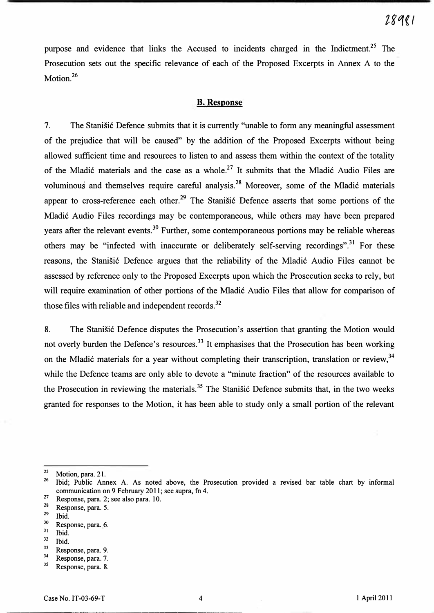purpose and evidence that links the Accused to incidents charged in the Indictment.<sup>25</sup> The Prosecution sets out the specific relevance of each of the Proposed Excerpts in Annex A to the Motion.<sup>26</sup>

### B. Response

7. The Stanisic Defence submits that it is currently "unable to form any meaningful assessment of the prejudice that will be caused" by the addition of the Proposed Excerpts without being allowed sufficient time and resources to listen to and assess them within the context of the totality of the Mladić materials and the case as a whole.<sup>27</sup> It submits that the Mladić Audio Files are voluminous and themselves require careful analysis.<sup>28</sup> Moreover, some of the Mladić materials appear to cross-reference each other.<sup>29</sup> The Stanisic Defence asserts that some portions of the Mladic Audio Files recordings may be contemporaneous, while others may have been prepared years after the relevant events.<sup>30</sup> Further, some contemporaneous portions may be reliable whereas others may be "infected with inaccurate or deliberately self-serving recordings".<sup>31</sup> For these reasons, the Stanisic Defence argues that the reliability of the Mladic Audio Files cannot be assessed by reference only to the Proposed Excerpts upon which the Prosecution seeks to rely, but will require examination of other portions of the Mladic Audio Files that allow for comparison of those files with reliable and independent records. $32$ 

8. The Stanisic Defence disputes the Prosecution's assertion that granting the Motion would not overly burden the Defence's resources.<sup>33</sup> It emphasises that the Prosecution has been working on the Mladić materials for a year without completing their transcription, translation or review,<sup>34</sup> while the Defence teams are only able to devote a "minute fraction" of the resources available to the Prosecution in reviewing the materials.<sup>35</sup> The Stanišić Defence submits that, in the two weeks granted for responses to the Motion, it has been able to study only a small portion of the relevant

 $rac{32}{33}$  Ibid.

---.-,-.---- --- -----'-'.--'----.-----'-'---\_ .... \_-----------------\_ ...•. \_---\_ .... .

 $\frac{25}{26}$  Motion, para. 21.

<sup>26</sup>Ibid; Public Annex A. As noted above, the Prosecution provided a revised bar table chart by informal communication on 9 February 2011; see supra, fn 4. <sup>26</sup> Ibid; Public Annex<br>
communication on 9<br>
<sup>27</sup> Response, para. 2; se<br>
<sup>29</sup> Response, para. 5.<br>
<sup>29</sup> Did.<br>
<sup>30</sup> Response, para. 6.<br>
<sup>31</sup> Ibid.<br>
<sup>32</sup> Ibid.<br>
<sup>32</sup> Bid.<br>
<sup>33</sup> Response, para. 9.<br>
<sup>34</sup> Response, para. 7.<br>
<sup>3</sup>

 $27$  Response, para. 2; see also para. 10.<br> $28$  Benonse para. 5

<sup>&</sup>lt;sup>28</sup> Response, para. 5.<br><sup>29</sup> Lid

 $^{29}$  Ibid.<br><sup>30</sup> Pear

 $^{30}$  Response, para. 6.<br> $^{31}$  Ibid

 $rac{31}{32}$  Ibid.

 $\frac{33}{34}$  Response, para. 9.

 $^{34}$  Response, para. 7. Response, para. 8.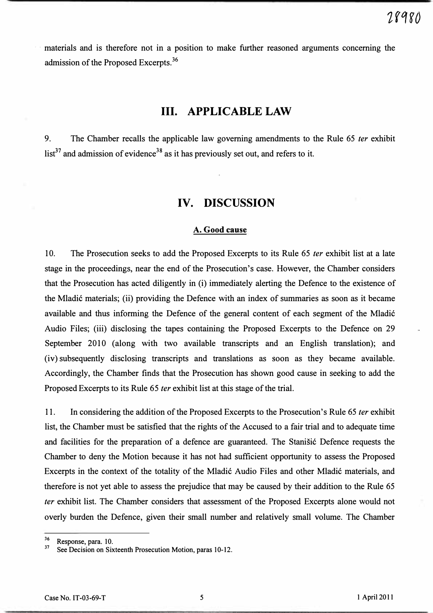materials and is therefore not in a position to make further reasoned arguments concerning the admission of the Proposed Excerpts.<sup>36</sup>

# Ill. APPLICABLE LAW

9. The Chamber recalls the applicable law governing amendments to the Rule 65 *ter* exhibit  $list^{37}$  and admission of evidence<sup>38</sup> as it has previously set out, and refers to it.

## IV. DISCUSSION

#### A. Good cause

10. The Prosecution seeks to add the Proposed Excerpts to its Rule 65 *ter* exhibit list at a late stage in the proceedings, near the end of the Prosecution's case. However, the Chamber considers that the Prosecution has acted diligently in (i) immediately alerting the Defence to the existence of the Mladic materials; (ii) providing the Defence with an index of summaries as soon as it became available and thus informing the Defence of the general content of each segment of the Mladic Audio Files; (iii) disclosing the tapes containing the Proposed Excerpts to the Defence on 29 September 2010 (along with two available transcripts and an English translation); and (iv) subsequently disclosing transcripts and translations as soon as they became available. Accordingly, the Chamber finds that the Prosecution has shown good cause in seeking to add the Proposed Excerpts to its Rule 65 fer exhibit list at this stage of the trial.

11. In considering the addition of the Proposed Excerpts to the Prosecution's Rule 65 *ter* exhibit list, the Chamber must be satisfied that the rights of the Accused to a fair trial and to adequate time and facilities for the preparation of a defence are guaranteed. The Stanistic Defence requests the Chamber to deny the Motion because it has not had sufficient opportunity to assess the Proposed Excerpts in the context of the totality of the Mladic Audio Files and other Mladic materials, and therefore is not yet able to assess the prejudice that may be caused by their addition to the Rule 65 fer exhibit list. The Chamber considers that assessment of the Proposed Excerpts alone would not overly burden the Defence, given their small number and relatively small volume. The Chamber

 $\frac{36}{37}$ Response, para. 10.

See Decision on Sixteenth Prosecution Motion, paras 10-12.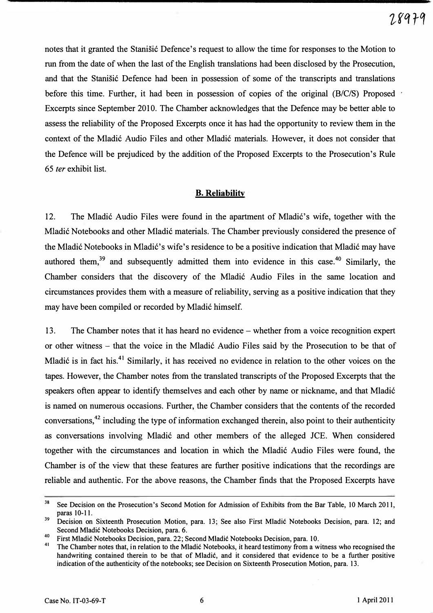notes that it granted the Stanisic Defence's request to allow the time for responses to the Motion to run from the date of when the last of the English translations had been disclosed by the Prosecution, and that the Stanisić Defence had been in possession of some of the transcripts and translations before this time. Further, it had been in possession of copies of the original (B/C/S) Proposed Excerpts since September 2010. The Chamber acknowledges that the Defence may be better able to assess the reliability of the Proposed Excerpts once it has had the opportunity to review them in the context of the Mladić Audio Files and other Mladić materials. However, it does not consider that the Defence will be prejudiced by the addition of the Proposed Excerpts to the Prosecution's Rule 65 fer exhibit list.

### B. Reliability

12. The Mladić Audio Files were found in the apartment of Mladić's wife, together with the Mladić Notebooks and other Mladić materials. The Chamber previously considered the presence of the Mladić Notebooks in Mladić's wife's residence to be a positive indication that Mladić may have authored them,<sup>39</sup> and subsequently admitted them into evidence in this case.<sup>40</sup> Similarly, the Chamber considers that the discovery of the Mladić Audio Files in the same location and circumstances provides them with a measure of reliability, serving as a positive indication that they may have been compiled or recorded by Mladić himself.

13. The Chamber notes that it has heard no evidence – whether from a voice recognition expert or other witness – that the voice in the Mladić Audio Files said by the Prosecution to be that of Mladić is in fact his.<sup>41</sup> Similarly, it has received no evidence in relation to the other voices on the tapes. However, the Chamber notes from the translated transcripts of the Proposed Excerpts that the speakers often appear to identify themselves and each other by name or nickname, and that Mladić is named on numerous occasions. Further, the Chamber considers that the contents of the recorded conversations,<sup>42</sup> including the type of information exchanged therein, also point to their authenticity as conversations involving Mladić and other members of the alleged JCE. When considered together with the circumstances and location in which the Mladić Audio Files were found, the Chamber is of the view that these features are further positive indications that the recordings are reliable and authentic. For the above reasons, the Chamber finds that the Proposed Excerpts have

<sup>&</sup>lt;sup>38</sup> See Decision on the Prosecution's Second Motion for Admission of Exhibits from the Bar Table, 10 March 2011, paras 10-11.

<sup>&</sup>lt;sup>39</sup> Decision on Sixteenth Prosecution Motion, para. 13; See also First Mladić Notebooks Decision, para. 12; and Second Mladic Notebooks Decision, para. 6.

<sup>&</sup>lt;sup>40</sup>First Mladić Notebooks Decision, para. 22; Second Mladić Notebooks Decision, para. 10.

The Chamber notes that, in relation to the Mladić Notebooks, it heard testimony from a witness who recognised the handwriting contained therein to be that of Mladic, and it considered that evidence to be a further positive indication of the authenticity of the notebooks; see Decision on Sixteenth Prosecution Motion, para. 13.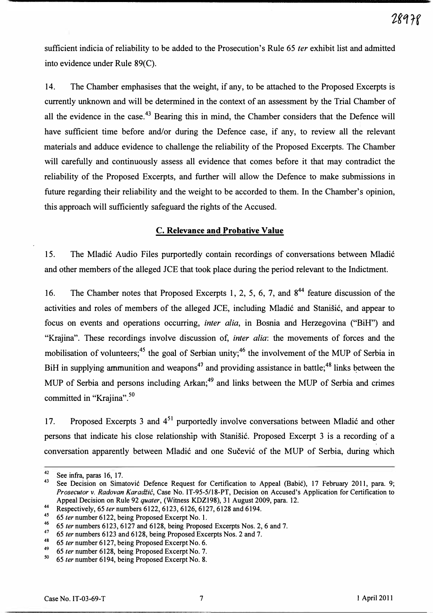sufficient indicia of reliability to be added to the Prosecution's Rule 65 *ter* exhibit list and admitted into evidence under Rule 89(C).

14. The Chamber emphasises that the weight, if any, to be attached to the Proposed Excerpts is currently unknown and will be determined in the context of an assessment by the Trial Chamber of all the evidence in the case.<sup>43</sup> Bearing this in mind, the Chamber considers that the Defence will have sufficient time before and/or during the Defence case, if any, to review all the relevant materials and adduce evidence to challenge the reliability of the Proposed Excerpts. The Chamber will carefully and continuously assess all evidence that comes before it that may contradict the reliability of the Proposed Excerpts, and further will allow the Defence to make submissions in future regarding their reliability and the weight to be accorded to them. In the Chamber's opinion, this approach will sufficiently safeguard the rights of the Accused.

#### c. Relevance and Probative Value

15. The Mladić Audio Files purportedly contain recordings of conversations between Mladić and other members of the alleged JCE that took place during the period relevant to the Indictment.

16. The Chamber notes that Proposed Excerpts 1, 2, 5, 6, 7, and  $8^{44}$  feature discussion of the activities and roles of members of the alleged JCE, including Mladić and Stanišić, and appear to focus on events and operations occurring, inter alia, in Bosnia and Herzegovina ("BiH") and "Krajina". These recordings involve discussion of, *inter alia*: the movements of forces and the mobilisation of volunteers;<sup>45</sup> the goal of Serbian unity;<sup>46</sup> the involvement of the MUP of Serbia in BiH in supplying ammunition and weapons<sup>47</sup> and providing assistance in battle;<sup>48</sup> links between the MUP of Serbia and persons including Arkan;<sup>49</sup> and links between the MUP of Serbia and crimes committed in "Krajina".<sup>50</sup>

17. Proposed Excerpts 3 and 4<sup>51</sup> purportedly involve conversations between Mladić and other persons that indicate his close relationship with Stanišić. Proposed Excerpt 3 is a recording of a conversation apparently between Mladić and one Sučević of the MUP of Serbia, during which

 $\frac{42}{43}$  See infra, paras 16, 17.

See Decision on Simatovic Defence Request for Certification to Appeal (Babic), 17 February 2011, para. 9; Prosecutor v. Radovan Karadžić, Case No. IT-95-5/18-PT, Decision on Accused's Application for Certification to Appeal Decision on Rule 92 quater, (Witness KDZI98), 31 August 2009, para. 12.

<sup>&</sup>lt;sup>44</sup>Respectively,  $65$  ter numbers  $6122$ ,  $6123$ ,  $6126$ ,  $6127$ ,  $6128$  and  $6194$ .

<sup>45 65</sup> ter number 6122, being Proposed Excerpt No. 1.

<sup>&</sup>lt;sup>46</sup> 65 ter numbers 6123, 6127 and 6128, being Proposed Excerpts Nos. 2, 6 and 7.

<sup>&</sup>lt;sup>47</sup> 65 ter numbers 6123 and 6128, being Proposed Excerpts Nos. 2 and 7.

<sup>&</sup>lt;sup>48</sup> 65 ter number 6127, being Proposed Excerpt No. 6.

 $^{49}$  65 ter number 6128, being Proposed Excerpt No. 7.<br>50 65 ter number 6194, being Proposed Excerpt No. 8.

<sup>65</sup> ter number 6194, being Proposed Excerpt No. 8.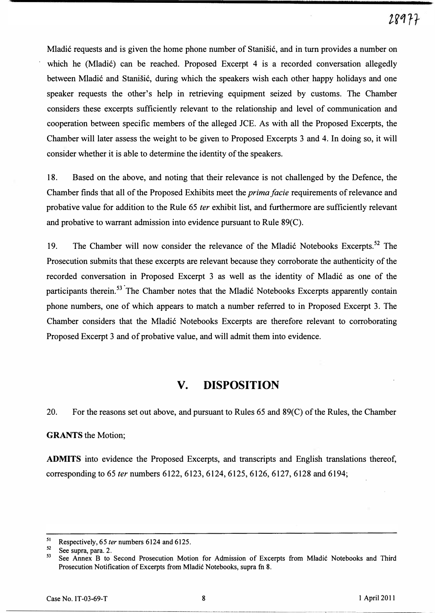Mladic requests and is given the home phone number of Stanisic, and in turn provides a number on which he (Mladić) can be reached. Proposed Excerpt 4 is a recorded conversation allegedly between Mladic and Stanisic, during which the speakers wish each other happy holidays and one speaker requests the other's help in retrieving equipment seized by customs. The Chamber considers these excerpts sufficiently relevant to the relationship and level of communication and cooperation between specific members of the alleged lCE. As with all the Proposed Excerpts, the Chamber will later assess the weight to be given to Proposed Excerpts 3 and 4. In doing so, it will consider whether it is able to determine the identity of the speakers.

18. Based on the above, and noting that their relevance is not challenged by the Defence, the Chamber finds that all of the Proposed Exhibits meet the prima facie requirements of relevance and probative value for addition to the Rule 65 fer exhibit list, and furthermore are sufficiently relevant and probative to warrant admission into evidence pursuant to Rule 89(C).

19. The Chamber will now consider the relevance of the Mladić Notebooks Excerpts.<sup>52</sup> The Prosecution submits that these excerpts are relevant because they corroborate the authenticity of the recorded conversation in Proposed Excerpt 3 as well as the identity of Mladic as one of the participants therein.<sup>53</sup> The Chamber notes that the Mladić Notebooks Excerpts apparently contain phone numbers, one of which appears to match a number referred to in Proposed Excerpt 3. The Chamber considers that the Mladic Notebooks Excerpts are therefore relevant to corroborating Proposed Excerpt 3 and of probative value, and will admit them into evidence.

# v. DISPOSITION

20. For the reasons set out above, and pursuant to Rules 65 and 89(C) of the Rules, the Chamber

#### GRANTS the Motion;

ADMITS into evidence the Proposed Excerpts, and transcripts and English translations thereof, corresponding to 65 *ter* numbers 6122, 6123, 6124, 6125, 6126, 6127, 6128 and 6194; 20. For the reasons set out a<br> **GRANTS** the Motion;<br> **ADMITS** into evidence the P<br>
corresponding to 65 *ter* number<br>
orresponding to 65 *ter* numbers<br>
<sup>51</sup> Respectively, 65 *ter* numbers 612<br>
<sup>22</sup> See supra, para. 2.<br>
See

-------------------

----

<sup>&</sup>lt;sup>51</sup> Respectively, 65 *ter* numbers 6124 and 6125.

 $52$  See supra, para. 2.

See Annex B to Second Prosecution Motion for Admission of Excerpts from Mladić Notebooks and Third Prosecution Notification of Excerpts from Mladic Notebooks, supra fn 8.